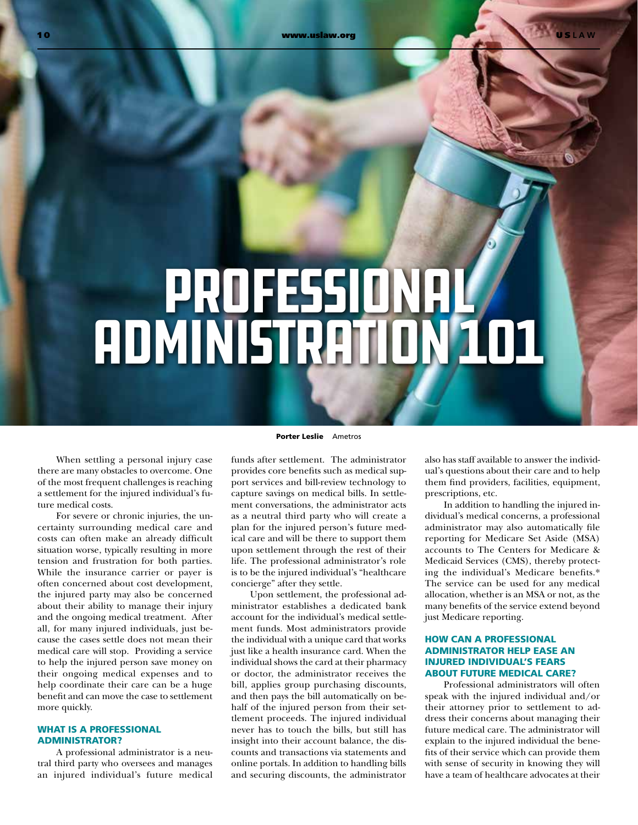# PROFESSIONAL Administration 101

When settling a personal injury case there are many obstacles to overcome. One of the most frequent challenges is reaching a settlement for the injured individual's future medical costs.

For severe or chronic injuries, the uncertainty surrounding medical care and costs can often make an already difficult situation worse, typically resulting in more tension and frustration for both parties. While the insurance carrier or payer is often concerned about cost development, the injured party may also be concerned about their ability to manage their injury and the ongoing medical treatment. After all, for many injured individuals, just because the cases settle does not mean their medical care will stop. Providing a service to help the injured person save money on their ongoing medical expenses and to help coordinate their care can be a huge benefit and can move the case to settlement more quickly.

### WHAT IS A PROFESSIONAL ADMINISTRATOR?

A professional administrator is a neutral third party who oversees and manages an injured individual's future medical

#### Porter Leslie Ametros

funds after settlement. The administrator provides core benefits such as medical support services and bill-review technology to capture savings on medical bills. In settlement conversations, the administrator acts as a neutral third party who will create a plan for the injured person's future medical care and will be there to support them upon settlement through the rest of their life. The professional administrator's role is to be the injured individual's "healthcare concierge" after they settle.

Upon settlement, the professional administrator establishes a dedicated bank account for the individual's medical settlement funds. Most administrators provide the individual with a unique card that works just like a health insurance card. When the individual shows the card at their pharmacy or doctor, the administrator receives the bill, applies group purchasing discounts, and then pays the bill automatically on behalf of the injured person from their settlement proceeds. The injured individual never has to touch the bills, but still has insight into their account balance, the discounts and transactions via statements and online portals. In addition to handling bills and securing discounts, the administrator also has staff available to answer the individual's questions about their care and to help them find providers, facilities, equipment, prescriptions, etc.

In addition to handling the injured individual's medical concerns, a professional administrator may also automatically file reporting for Medicare Set Aside (MSA) accounts to The Centers for Medicare & Medicaid Services (CMS), thereby protecting the individual's Medicare benefits.\* The service can be used for any medical allocation, whether is an MSA or not, as the many benefits of the service extend beyond just Medicare reporting.

# HOW CAN A PROFESSIONAL ADMINISTRATOR HELP EASE AN INJURED INDIVIDUAL'S FEARS ABOUT FUTURE MEDICAL CARE?

Professional administrators will often speak with the injured individual and/or their attorney prior to settlement to address their concerns about managing their future medical care. The administrator will explain to the injured individual the benefits of their service which can provide them with sense of security in knowing they will have a team of healthcare advocates at their